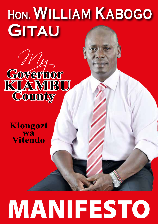## HON. WILLIAM KABOGO GITAU



Kiongozi **Wa**<br>Vitendo

# **MANIFESTO**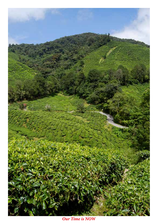

**Our Time is NOW**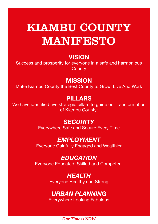## KIAMBU COUNTY MANIFESTO

## **VISION**

Success and prosperity for everyone in a safe and harmonious **County** 

## **MISSION**

Make Kiambu County the Best County to Grow, Live And Work

## PILLARS

We have identified five strategic pillars to guide our transformation of Kiambu County:

## **SECURITY**

Everywhere Safe and Secure Every Time

## EMPLOYMENT

Everyone Gainfully Engaged and Wealthier

## **EDUCATION**

Everyone Educated, Skilled and Competent

#### HEALTH Everyone Healthy and Strong

## URBAN PLANNING

Everywhere Looking Fabulous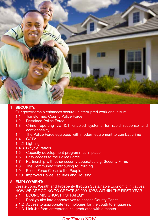

#### 1 SECURITY:

Our governorship enhances secure uninterrupted work and leisure.

- 1.1 Transformed County Police Force
- 1.2 Retrained Police Force
- 1.3 Crime reporting via ICT enabled systems for rapid response and confidentiality
- 1.4 The Police Force equipped with modern equipment to combat crime
- 1.4.1 CCTV
- 1.4.2 Lighting
- 1.4.3 Bicycle Patrols
- 1.5 Capacity development programmes in place
- 1.6 Easy access to the Police Force
- 1.7 Partnership with other security apparatus e.g. Security Firms
- 1.8 The Community contributing to Policing
- 1.9 Police Force Close to the People
- 1.10 Improved Police Facilities and Housing

#### 2 EMPLOYMENT:

Create Jobs, Wealth and Prosperity through Sustainable Economic Initiatives. HOW WE ARE GOING TO CREATE 50,000 JOBS WITHIN THE FIRST YEAR

- 2.1 ECONOMIC GROWTH STRATEGY
- 2.1.1 Pool youths into cooperatives to access County Capital
- 2.1.2 Access to appropriate technologies for the youth to engage in.
- 2.1.3 Link 4th form entrepreneurial graduates with a mentor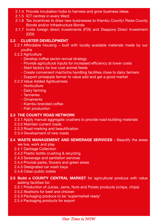- 2.1.4 Provide incubation hubs to harness and grow business ideas.
- 2.1.5 ICT centres in every Ward
- 2.1.6 Tax incentives to draw new businesses to Kiambu County\ Raise County Bonds and/or Infrastructure Bonds
- 2.1.7 Invite foreign direct investments (FDI) and Diaspora Direct Investment (DDI)

#### 2.2 CLUSTER DEVELOPMENT

- 2.2.1 Affordable Housing built with locally available materials made by our youths
- 2.2.2 Agriculture
	- Develop coffee sector revival strategy
	- Provide agricultural inputs for increased efficiency at lower costs
	- Start factory for low cost animal feeds
	- Create convenient machicha handling facilities close to dairy farmers
	- Support pineapple farmer to value add and get a good market
- 2.2.3 Value Added Agribusiness
	- Horticulture
	- Dairy farming
	- Tanneries
	- Ornaments
	- Kiambu branded coffee
	- Fish production

#### 2.3 THE COUNTY ROAD NETWORK

2.3.1 Apply manual aggregate crushers to provide road-building materials

- 2.3.2 Maintain current roads
- 2.3.3 Road marking and beautification
- 2.3.4 Development of new roads

#### 2.4 WASTE MANAGEMENT AND SEWERAGE SERVICES – Beautify the areas

we live, work and play

#### 2.4.1 Garbage Collection

- 2.4.2 Plastic bottle crushing & recycling
- 2.4.3 Sewerage and sanitation services
- 2.4.4 Provide parks, flowers and green areas
- 2.4.5 Designated car wash bays
- 2.4.6 Clean public toilets

#### 2.5 Build a COUNTY CENTRAL MARKET for agricultural produce with value

adding facilities for:

- 2.5.1 Production of Juices, Jams, Nuts and Potato products (crisps, chips)
- 2.5.2 Abattoirs for beef and chicken
- 2.5.3 Packaging produce to be 'supermarket ready'
- 2.5.4 Packaging products for export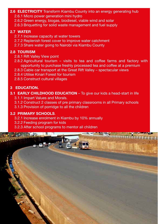#### 2.6 **ELECTRICITY** Transform Kiambu County into an energy generating hub 2.6.1 Micro power generation mini hydro

- 2.6.2 Green energy, biogas, biodiesel, viable wind and solar
- 2.6.3 Briquetting for solid waste management and fuel supply

#### 2.7 WATER

- 2.7.1 Increase capacity at water towers
- 2.7.2 Replenish forest cover to improve water catchment
- 2.7.3 Share water going to Nairobi via Kiambu County

#### 2.8 TOURISM

- 2.8.1 Rift Valley View point
- 2.8.2 Agricultural tourism visits to tea and coffee farms and factory with opportunity to purchase freshly processed tea and coffee at a premium
- 2.8.3 Cable car transport at the Great Rift Valley spectacular views
- 2.8.4 Utilise Kinari Forest for tourism
- 2.8.5 Construct cultural villages

#### 3 EDUCATION.

## **3.1 EARLY CHILDHOOD EDUCATION** – To give our kids a head-start in life

- 3.1.1 Impart Values and Morals.
- 3.1.2 Construct 2 classes of pre primary classrooms in all Primary schools
- 3.1.3 Provision of porridge to all the children

#### 3.2 PRIMARY SCHOOLS.

- 3.2.1 Increase enrolment in Kiambu by 10% annually
- 3.2.2 Feeding program for kids
- 3.2.3 After school programs to mentor all children

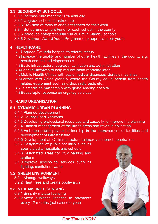#### 3.3 SECONDARY SCHOOLS.

- 3.3.1 Increase enrolment by 10% annually
- 3.3.2 Upgrade school infrastructure
- 3.3.3 Provision of tools to enable teachers do their work
- 3.3.4 Set up Endowment Fund for each school in the county
- 3.3.5 Introduce entrepreneurial curriculum in Kiambu schools
- 3.3.6 Governors Award Youth Programme to appreciate our youth

#### 4 HEALTHCARE

- 4.1Upgrade Gatundu hospital to referral status
- 4.2Increase the quality and number of other health facilities in the county, e.g. health centres and dispensaries.
- 4.3Basic infrastructural upgrade, sanitation and administration
- 4.4Recruit Midwives to help reduce infant mortality rates
- 4.5Mobile Health Clinics with basic medical diagnosis, dialysis machines,
- 4.6Partner with Cities globally where the County could benefit from health related equipment such as orthopaedic beds etc.
- 4.7Telemedicine partnership with global leading hospital
- 4.8Boost rapid response emergency services

#### 5 RAPID URBANISATION

#### 5.1 DYNAMIC URBAN PLANNING

- 5.1.1 Planned development
- 5.1.2 County Road Networks
- 5.1.3 Developing professional resources and capacity to improve the planning
- 5.1.4 Ef!cient management of the urban areas and revenue collection
- 5.1.5 Embrace public private partnership in the improvement of facilities and development of infrastructure
- 5.1.6 Development of ICT infrastructure to improve Internet penetration
- 5.1.7 Designation of public facilities such as sports stadia, hospitals and schools
- 5.1.8 Designated areas for PSV parking and stations
- 5.1.9 Improve access to services such as lighting, sanitation, water

#### 5.2 GREEN ENVIRONMENT

- 5.2.1 Manage walkways
- 5.2.2 Plant trees and create boulevards

#### 5.3 STREAMLINE LICENCING

- 5.3.1 Simplify matatu licencing
- 5.3.2 Move business licences to payments every 12 months (not calendar year)